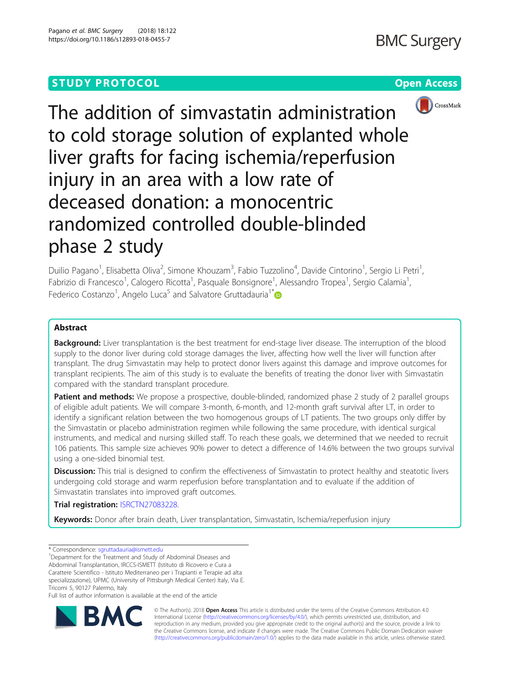# **STUDY PROTOCOL CONSUMING THE CONSUMING OPEN ACCESS**



The addition of simvastatin administration to cold storage solution of explanted whole liver grafts for facing ischemia/reperfusion injury in an area with a low rate of deceased donation: a monocentric randomized controlled double-blinded phase 2 study

Duilio Pagano<sup>1</sup>, Elisabetta Oliva<sup>2</sup>, Simone Khouzam<sup>3</sup>, Fabio Tuzzolino<sup>4</sup>, Davide Cintorino<sup>1</sup>, Sergio Li Petri<sup>1</sup> , Fabrizio di Francesco<sup>1</sup>, Calogero Ricotta<sup>1</sup>, Pasquale Bonsignore<sup>1</sup>, Alessandro Tropea<sup>1</sup>, Sergio Calamia<sup>1</sup> , Federico Costanzo<sup>1</sup>, Angelo Luca<sup>5</sup> and Salvatore Gruttadauria<sup>1[\\*](http://orcid.org/0000-0002-9684-8035)</sup>

## Abstract

Background: Liver transplantation is the best treatment for end-stage liver disease. The interruption of the blood supply to the donor liver during cold storage damages the liver, affecting how well the liver will function after transplant. The drug Simvastatin may help to protect donor livers against this damage and improve outcomes for transplant recipients. The aim of this study is to evaluate the benefits of treating the donor liver with Simvastatin compared with the standard transplant procedure.

Patient and methods: We propose a prospective, double-blinded, randomized phase 2 study of 2 parallel groups of eligible adult patients. We will compare 3-month, 6-month, and 12-month graft survival after LT, in order to identify a significant relation between the two homogenous groups of LT patients. The two groups only differ by the Simvastatin or placebo administration regimen while following the same procedure, with identical surgical instruments, and medical and nursing skilled staff. To reach these goals, we determined that we needed to recruit 106 patients. This sample size achieves 90% power to detect a difference of 14.6% between the two groups survival using a one-sided binomial test.

**Discussion:** This trial is designed to confirm the effectiveness of Simvastatin to protect healthy and steatotic livers undergoing cold storage and warm reperfusion before transplantation and to evaluate if the addition of Simvastatin translates into improved graft outcomes.

Trial registration: [ISRCTN27083228](https://doi.org/10.1186/ISRCTN27083228).

Keywords: Donor after brain death, Liver transplantation, Simvastatin, Ischemia/reperfusion injury

\* Correspondence: [sgruttadauria@ismett.edu](mailto:sgruttadauria@ismett.edu) <sup>1</sup>

Full list of author information is available at the end of the article



© The Author(s). 2018 Open Access This article is distributed under the terms of the Creative Commons Attribution 4.0 International License [\(http://creativecommons.org/licenses/by/4.0/](http://creativecommons.org/licenses/by/4.0/)), which permits unrestricted use, distribution, and reproduction in any medium, provided you give appropriate credit to the original author(s) and the source, provide a link to the Creative Commons license, and indicate if changes were made. The Creative Commons Public Domain Dedication waiver [\(http://creativecommons.org/publicdomain/zero/1.0/](http://creativecommons.org/publicdomain/zero/1.0/)) applies to the data made available in this article, unless otherwise stated.

<sup>&</sup>lt;sup>1</sup>Department for the Treatment and Study of Abdominal Diseases and Abdominal Transplantation, IRCCS-ISMETT (Istituto di Ricovero e Cura a Carattere Scientifico - Istituto Mediterraneo per i Trapianti e Terapie ad alta specializzazione), UPMC (University of Pittsburgh Medical Center) Italy, Via E. Tricomi 5, 90127 Palermo, Italy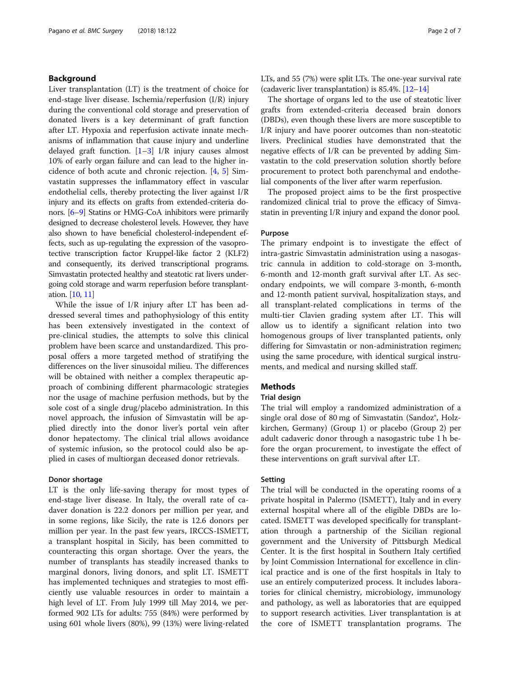### Background

Liver transplantation (LT) is the treatment of choice for end-stage liver disease. Ischemia/reperfusion (I/R) injury during the conventional cold storage and preservation of donated livers is a key determinant of graft function after LT. Hypoxia and reperfusion activate innate mechanisms of inflammation that cause injury and underline delayed graft function.  $[1-3]$  $[1-3]$  $[1-3]$  I/R injury causes almost 10% of early organ failure and can lead to the higher incidence of both acute and chronic rejection. [[4,](#page-6-0) [5](#page-6-0)] Simvastatin suppresses the inflammatory effect in vascular endothelial cells, thereby protecting the liver against I/R injury and its effects on grafts from extended-criteria donors. [\[6](#page-6-0)–[9](#page-6-0)] Statins or HMG-CoA inhibitors were primarily designed to decrease cholesterol levels. However, they have also shown to have beneficial cholesterol-independent effects, such as up-regulating the expression of the vasoprotective transcription factor Kruppel-like factor 2 (KLF2) and consequently, its derived transcriptional programs. Simvastatin protected healthy and steatotic rat livers undergoing cold storage and warm reperfusion before transplantation. [\[10](#page-6-0), [11](#page-6-0)]

While the issue of I/R injury after LT has been addressed several times and pathophysiology of this entity has been extensively investigated in the context of pre-clinical studies, the attempts to solve this clinical problem have been scarce and unstandardized. This proposal offers a more targeted method of stratifying the differences on the liver sinusoidal milieu. The differences will be obtained with neither a complex therapeutic approach of combining different pharmacologic strategies nor the usage of machine perfusion methods, but by the sole cost of a single drug/placebo administration. In this novel approach, the infusion of Simvastatin will be applied directly into the donor liver's portal vein after donor hepatectomy. The clinical trial allows avoidance of systemic infusion, so the protocol could also be applied in cases of multiorgan deceased donor retrievals.

### Donor shortage

LT is the only life-saving therapy for most types of end-stage liver disease. In Italy, the overall rate of cadaver donation is 22.2 donors per million per year, and in some regions, like Sicily, the rate is 12.6 donors per million per year. In the past few years, IRCCS-ISMETT, a transplant hospital in Sicily, has been committed to counteracting this organ shortage. Over the years, the number of transplants has steadily increased thanks to marginal donors, living donors, and split LT. ISMETT has implemented techniques and strategies to most efficiently use valuable resources in order to maintain a high level of LT. From July 1999 till May 2014, we performed 902 LTs for adults: 755 (84%) were performed by using 601 whole livers (80%), 99 (13%) were living-related LTs, and 55 (7%) were split LTs. The one-year survival rate (cadaveric liver transplantation) is 85.4%. [\[12](#page-6-0)–[14\]](#page-6-0)

The shortage of organs led to the use of steatotic liver grafts from extended-criteria deceased brain donors (DBDs), even though these livers are more susceptible to I/R injury and have poorer outcomes than non-steatotic livers. Preclinical studies have demonstrated that the negative effects of I/R can be prevented by adding Simvastatin to the cold preservation solution shortly before procurement to protect both parenchymal and endothelial components of the liver after warm reperfusion.

The proposed project aims to be the first prospective randomized clinical trial to prove the efficacy of Simvastatin in preventing I/R injury and expand the donor pool.

### Purpose

The primary endpoint is to investigate the effect of intra-gastric Simvastatin administration using a nasogastric cannula in addition to cold-storage on 3-month, 6-month and 12-month graft survival after LT. As secondary endpoints, we will compare 3-month, 6-month and 12-month patient survival, hospitalization stays, and all transplant-related complications in terms of the multi-tier Clavien grading system after LT. This will allow us to identify a significant relation into two homogenous groups of liver transplanted patients, only differing for Simvastatin or non-administration regimen; using the same procedure, with identical surgical instruments, and medical and nursing skilled staff.

### **Methods**

### Trial design

The trial will employ a randomized administration of a single oral dose of 80 mg of Simvastatin (Sandoz®, Holzkirchen, Germany) (Group 1) or placebo (Group 2) per adult cadaveric donor through a nasogastric tube 1 h before the organ procurement, to investigate the effect of these interventions on graft survival after LT.

### Setting

The trial will be conducted in the operating rooms of a private hospital in Palermo (ISMETT), Italy and in every external hospital where all of the eligible DBDs are located. ISMETT was developed specifically for transplantation through a partnership of the Sicilian regional government and the University of Pittsburgh Medical Center. It is the first hospital in Southern Italy certified by Joint Commission International for excellence in clinical practice and is one of the first hospitals in Italy to use an entirely computerized process. It includes laboratories for clinical chemistry, microbiology, immunology and pathology, as well as laboratories that are equipped to support research activities. Liver transplantation is at the core of ISMETT transplantation programs. The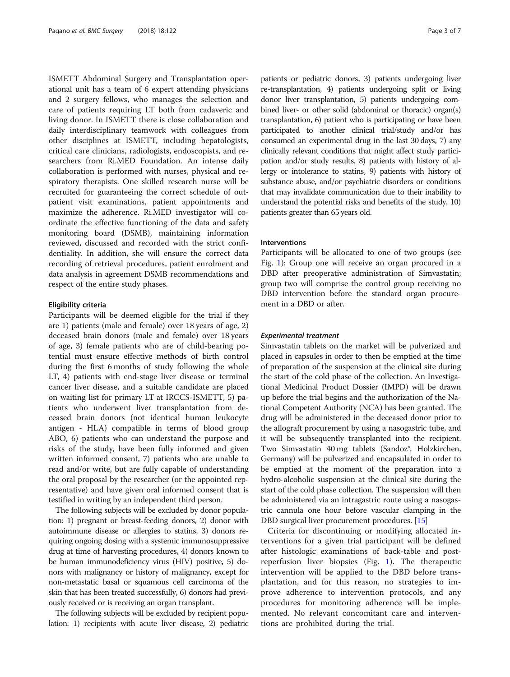ISMETT Abdominal Surgery and Transplantation operational unit has a team of 6 expert attending physicians and 2 surgery fellows, who manages the selection and care of patients requiring LT both from cadaveric and living donor. In ISMETT there is close collaboration and daily interdisciplinary teamwork with colleagues from other disciplines at ISMETT, including hepatologists, critical care clinicians, radiologists, endoscopists, and researchers from Ri.MED Foundation. An intense daily collaboration is performed with nurses, physical and respiratory therapists. One skilled research nurse will be recruited for guaranteeing the correct schedule of outpatient visit examinations, patient appointments and maximize the adherence. Ri.MED investigator will coordinate the effective functioning of the data and safety monitoring board (DSMB), maintaining information reviewed, discussed and recorded with the strict confidentiality. In addition, she will ensure the correct data recording of retrieval procedures, patient enrolment and data analysis in agreement DSMB recommendations and respect of the entire study phases.

### Eligibility criteria

Participants will be deemed eligible for the trial if they are 1) patients (male and female) over 18 years of age, 2) deceased brain donors (male and female) over 18 years of age, 3) female patients who are of child-bearing potential must ensure effective methods of birth control during the first 6 months of study following the whole LT, 4) patients with end-stage liver disease or terminal cancer liver disease, and a suitable candidate are placed on waiting list for primary LT at IRCCS-ISMETT, 5) patients who underwent liver transplantation from deceased brain donors (not identical human leukocyte antigen - HLA) compatible in terms of blood group ABO, 6) patients who can understand the purpose and risks of the study, have been fully informed and given written informed consent, 7) patients who are unable to read and/or write, but are fully capable of understanding the oral proposal by the researcher (or the appointed representative) and have given oral informed consent that is testified in writing by an independent third person.

The following subjects will be excluded by donor population: 1) pregnant or breast-feeding donors, 2) donor with autoimmune disease or allergies to statins, 3) donors requiring ongoing dosing with a systemic immunosuppressive drug at time of harvesting procedures, 4) donors known to be human immunodeficiency virus (HIV) positive, 5) donors with malignancy or history of malignancy, except for non-metastatic basal or squamous cell carcinoma of the skin that has been treated successfully, 6) donors had previously received or is receiving an organ transplant.

The following subjects will be excluded by recipient population: 1) recipients with acute liver disease, 2) pediatric patients or pediatric donors, 3) patients undergoing liver re-transplantation, 4) patients undergoing split or living donor liver transplantation, 5) patients undergoing combined liver- or other solid (abdominal or thoracic) organ(s) transplantation, 6) patient who is participating or have been participated to another clinical trial/study and/or has consumed an experimental drug in the last 30 days, 7) any clinically relevant conditions that might affect study participation and/or study results, 8) patients with history of allergy or intolerance to statins, 9) patients with history of substance abuse, and/or psychiatric disorders or conditions that may invalidate communication due to their inability to understand the potential risks and benefits of the study, 10) patients greater than 65 years old.

### Interventions

Participants will be allocated to one of two groups (see Fig. [1](#page-3-0)): Group one will receive an organ procured in a DBD after preoperative administration of Simvastatin; group two will comprise the control group receiving no DBD intervention before the standard organ procurement in a DBD or after.

### Experimental treatment

Simvastatin tablets on the market will be pulverized and placed in capsules in order to then be emptied at the time of preparation of the suspension at the clinical site during the start of the cold phase of the collection. An Investigational Medicinal Product Dossier (IMPD) will be drawn up before the trial begins and the authorization of the National Competent Authority (NCA) has been granted. The drug will be administered in the deceased donor prior to the allograft procurement by using a nasogastric tube, and it will be subsequently transplanted into the recipient. Two Simvastatin 40 mg tablets (Sandoz®, Holzkirchen, Germany) will be pulverized and encapsulated in order to be emptied at the moment of the preparation into a hydro-alcoholic suspension at the clinical site during the start of the cold phase collection. The suspension will then be administered via an intragastric route using a nasogastric cannula one hour before vascular clamping in the DBD surgical liver procurement procedures. [\[15\]](#page-6-0)

Criteria for discontinuing or modifying allocated interventions for a given trial participant will be defined after histologic examinations of back-table and postreperfusion liver biopsies (Fig. [1](#page-3-0)). The therapeutic intervention will be applied to the DBD before transplantation, and for this reason, no strategies to improve adherence to intervention protocols, and any procedures for monitoring adherence will be implemented. No relevant concomitant care and interventions are prohibited during the trial.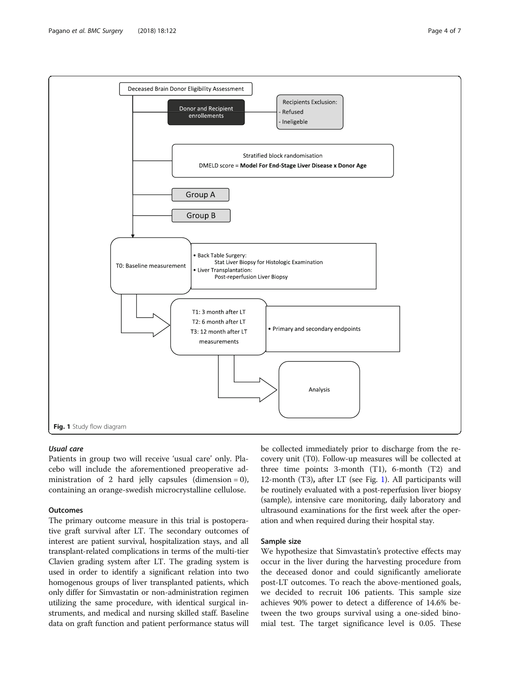<span id="page-3-0"></span>

#### Usual care

Patients in group two will receive 'usual care' only. Placebo will include the aforementioned preoperative administration of 2 hard jelly capsules (dimension =  $0$ ), containing an orange-swedish microcrystalline cellulose.

### **Outcomes**

The primary outcome measure in this trial is postoperative graft survival after LT. The secondary outcomes of interest are patient survival, hospitalization stays, and all transplant-related complications in terms of the multi-tier Clavien grading system after LT. The grading system is used in order to identify a significant relation into two homogenous groups of liver transplanted patients, which only differ for Simvastatin or non-administration regimen utilizing the same procedure, with identical surgical instruments, and medical and nursing skilled staff. Baseline data on graft function and patient performance status will

be collected immediately prior to discharge from the recovery unit (T0). Follow-up measures will be collected at three time points: 3-month (T1), 6-month (T2) and 12-month (T3), after LT (see Fig. 1). All participants will be routinely evaluated with a post-reperfusion liver biopsy (sample), intensive care monitoring, daily laboratory and ultrasound examinations for the first week after the operation and when required during their hospital stay.

### Sample size

We hypothesize that Simvastatin's protective effects may occur in the liver during the harvesting procedure from the deceased donor and could significantly ameliorate post-LT outcomes. To reach the above-mentioned goals, we decided to recruit 106 patients. This sample size achieves 90% power to detect a difference of 14.6% between the two groups survival using a one-sided binomial test. The target significance level is 0.05. These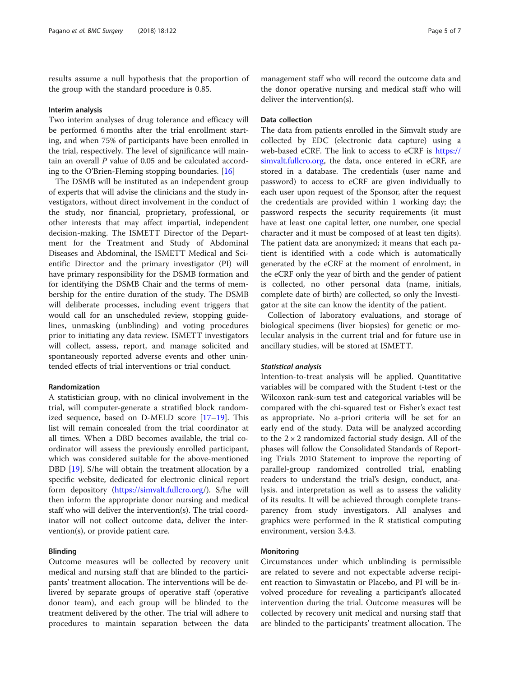results assume a null hypothesis that the proportion of the group with the standard procedure is 0.85.

#### Interim analysis

Two interim analyses of drug tolerance and efficacy will be performed 6 months after the trial enrollment starting, and when 75% of participants have been enrolled in the trial, respectively. The level of significance will maintain an overall P value of 0.05 and be calculated according to the O'Brien-Fleming stopping boundaries. [[16\]](#page-6-0)

The DSMB will be instituted as an independent group of experts that will advise the clinicians and the study investigators, without direct involvement in the conduct of the study, nor financial, proprietary, professional, or other interests that may affect impartial, independent decision-making. The ISMETT Director of the Department for the Treatment and Study of Abdominal Diseases and Abdominal, the ISMETT Medical and Scientific Director and the primary investigator (PI) will have primary responsibility for the DSMB formation and for identifying the DSMB Chair and the terms of membership for the entire duration of the study. The DSMB will deliberate processes, including event triggers that would call for an unscheduled review, stopping guidelines, unmasking (unblinding) and voting procedures prior to initiating any data review. ISMETT investigators will collect, assess, report, and manage solicited and spontaneously reported adverse events and other unintended effects of trial interventions or trial conduct.

### Randomization

A statistician group, with no clinical involvement in the trial, will computer-generate a stratified block randomized sequence, based on D-MELD score [[17](#page-6-0)–[19](#page-6-0)]. This list will remain concealed from the trial coordinator at all times. When a DBD becomes available, the trial coordinator will assess the previously enrolled participant, which was considered suitable for the above-mentioned DBD [\[19](#page-6-0)]. S/he will obtain the treatment allocation by a specific website, dedicated for electronic clinical report form depository (<https://simvalt.fullcro.org>/). S/he will then inform the appropriate donor nursing and medical staff who will deliver the intervention(s). The trial coordinator will not collect outcome data, deliver the intervention(s), or provide patient care.

#### Blinding

Outcome measures will be collected by recovery unit medical and nursing staff that are blinded to the participants' treatment allocation. The interventions will be delivered by separate groups of operative staff (operative donor team), and each group will be blinded to the treatment delivered by the other. The trial will adhere to procedures to maintain separation between the data

management staff who will record the outcome data and the donor operative nursing and medical staff who will deliver the intervention(s).

### Data collection

The data from patients enrolled in the Simvalt study are collected by EDC (electronic data capture) using a web-based eCRF. The link to access to eCRF is [https://](https://simvalt.fullcro.org) [simvalt.fullcro.org](https://simvalt.fullcro.org), the data, once entered in eCRF, are stored in a database. The credentials (user name and password) to access to eCRF are given individually to each user upon request of the Sponsor, after the request the credentials are provided within 1 working day; the password respects the security requirements (it must have at least one capital letter, one number, one special character and it must be composed of at least ten digits). The patient data are anonymized; it means that each patient is identified with a code which is automatically generated by the eCRF at the moment of enrolment, in the eCRF only the year of birth and the gender of patient is collected, no other personal data (name, initials, complete date of birth) are collected, so only the Investigator at the site can know the identity of the patient.

Collection of laboratory evaluations, and storage of biological specimens (liver biopsies) for genetic or molecular analysis in the current trial and for future use in ancillary studies, will be stored at ISMETT.

#### Statistical analysis

Intention-to-treat analysis will be applied. Quantitative variables will be compared with the Student t-test or the Wilcoxon rank-sum test and categorical variables will be compared with the chi-squared test or Fisher's exact test as appropriate. No a-priori criteria will be set for an early end of the study. Data will be analyzed according to the  $2 \times 2$  randomized factorial study design. All of the phases will follow the Consolidated Standards of Reporting Trials 2010 Statement to improve the reporting of parallel-group randomized controlled trial, enabling readers to understand the trial's design, conduct, analysis. and interpretation as well as to assess the validity of its results. It will be achieved through complete transparency from study investigators. All analyses and graphics were performed in the R statistical computing environment, version 3.4.3.

### Monitoring

Circumstances under which unblinding is permissible are related to severe and not expectable adverse recipient reaction to Simvastatin or Placebo, and PI will be involved procedure for revealing a participant's allocated intervention during the trial. Outcome measures will be collected by recovery unit medical and nursing staff that are blinded to the participants' treatment allocation. The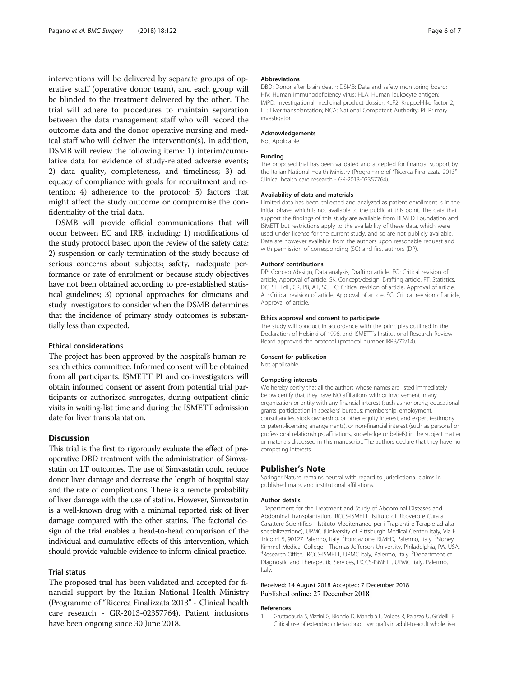<span id="page-5-0"></span>interventions will be delivered by separate groups of operative staff (operative donor team), and each group will be blinded to the treatment delivered by the other. The trial will adhere to procedures to maintain separation between the data management staff who will record the outcome data and the donor operative nursing and medical staff who will deliver the intervention(s). In addition, DSMB will review the following items: 1) interim/cumulative data for evidence of study-related adverse events; 2) data quality, completeness, and timeliness; 3) adequacy of compliance with goals for recruitment and retention; 4) adherence to the protocol; 5) factors that might affect the study outcome or compromise the confidentiality of the trial data.

DSMB will provide official communications that will occur between EC and IRB, including: 1) modifications of the study protocol based upon the review of the safety data; 2) suspension or early termination of the study because of serious concerns about subjects¿ safety, inadequate performance or rate of enrolment or because study objectives have not been obtained according to pre-established statistical guidelines; 3) optional approaches for clinicians and study investigators to consider when the DSMB determines that the incidence of primary study outcomes is substantially less than expected.

### Ethical considerations

The project has been approved by the hospital's human research ethics committee. Informed consent will be obtained from all participants. ISMETT PI and co-investigators will obtain informed consent or assent from potential trial participants or authorized surrogates, during outpatient clinic visits in waiting-list time and during the ISMETT admission date for liver transplantation.

### **Discussion**

This trial is the first to rigorously evaluate the effect of preoperative DBD treatment with the administration of Simvastatin on LT outcomes. The use of Simvastatin could reduce donor liver damage and decrease the length of hospital stay and the rate of complications. There is a remote probability of liver damage with the use of statins. However, Simvastatin is a well-known drug with a minimal reported risk of liver damage compared with the other statins. The factorial design of the trial enables a head-to-head comparison of the individual and cumulative effects of this intervention, which should provide valuable evidence to inform clinical practice.

### Trial status

The proposed trial has been validated and accepted for financial support by the Italian National Health Ministry (Programme of "Ricerca Finalizzata 2013" - Clinical health care research - GR-2013-02357764). Patient inclusions have been ongoing since 30 June 2018.

#### Abbreviations

DBD: Donor after brain death; DSMB: Data and safety monitoring board; HIV: Human immunodeficiency virus; HLA: Human leukocyte antigen; IMPD: Investigational medicinal product dossier; KLF2: Kruppel-like factor 2; LT: Liver transplantation; NCA: National Competent Authority; PI: Primary investigator

#### Acknowledgements

Not Applicable.

#### Funding

The proposed trial has been validated and accepted for financial support by the Italian National Health Ministry (Programme of "Ricerca Finalizzata 2013" - Clinical health care research - GR-2013-02357764).

#### Availability of data and materials

Limited data has been collected and analyzed as patient enrollment is in the initial phase, which is not available to the public at this point. The data that support the findings of this study are available from RI.MED Foundation and ISMETT but restrictions apply to the availability of these data, which were used under license for the current study, and so are not publicly available. Data are however available from the authors upon reasonable request and with permission of corresponding (SG) and first authors (DP).

#### Authors' contributions

DP: Concept/design, Data analysis, Drafting article. EO: Critical revision of article, Approval of article. SK: Concept/design, Drafting article. FT: Statistics. DC, SL, FdF, CR, PB, AT, SC, FC: Critical revision of article, Approval of article. AL: Critical revision of article, Approval of article. SG: Critical revision of article, Approval of article.

#### Ethics approval and consent to participate

The study will conduct in accordance with the principles outlined in the Declaration of Helsinki of 1996, and ISMETT's Institutional Research Review Board approved the protocol (protocol number IRRB/72/14).

#### Consent for publication

Not applicable.

#### Competing interests

We hereby certify that all the authors whose names are listed immediately below certify that they have NO affiliations with or involvement in any organization or entity with any financial interest (such as honoraria; educational grants; participation in speakers' bureaus; membership, employment, consultancies, stock ownership, or other equity interest; and expert testimony or patent-licensing arrangements), or non-financial interest (such as personal or professional relationships, affiliations, knowledge or beliefs) in the subject matter or materials discussed in this manuscript. The authors declare that they have no competing interests.

#### Publisher's Note

Springer Nature remains neutral with regard to jurisdictional claims in published maps and institutional affiliations.

#### Author details

<sup>1</sup>Department for the Treatment and Study of Abdominal Diseases and Abdominal Transplantation, IRCCS-ISMETT (Istituto di Ricovero e Cura a Carattere Scientifico - Istituto Mediterraneo per i Trapianti e Terapie ad alta specializzazione), UPMC (University of Pittsburgh Medical Center) Italy, Via E. Tricomi 5, 90127 Palermo, Italy. <sup>2</sup> Fondazione Ri.MED, Palermo, Italy. <sup>3</sup> Sidney Kimmel Medical College - Thomas Jefferson University, Philadelphia, PA, USA. <sup>4</sup>Research Office, IRCCS-ISMETT, UPMC Italy, Palermo, Italy. <sup>5</sup>Department of Diagnostic and Therapeutic Services, IRCCS-ISMETT, UPMC Italy, Palermo, Italy.

#### Received: 14 August 2018 Accepted: 7 December 2018 Published online: 27 December 2018

#### References

1. Gruttadauria S, Vizzini G, Biondo D, Mandalà L, Volpes R, Palazzo U, Gridelli B. Critical use of extended criteria donor liver grafts in adult-to-adult whole liver